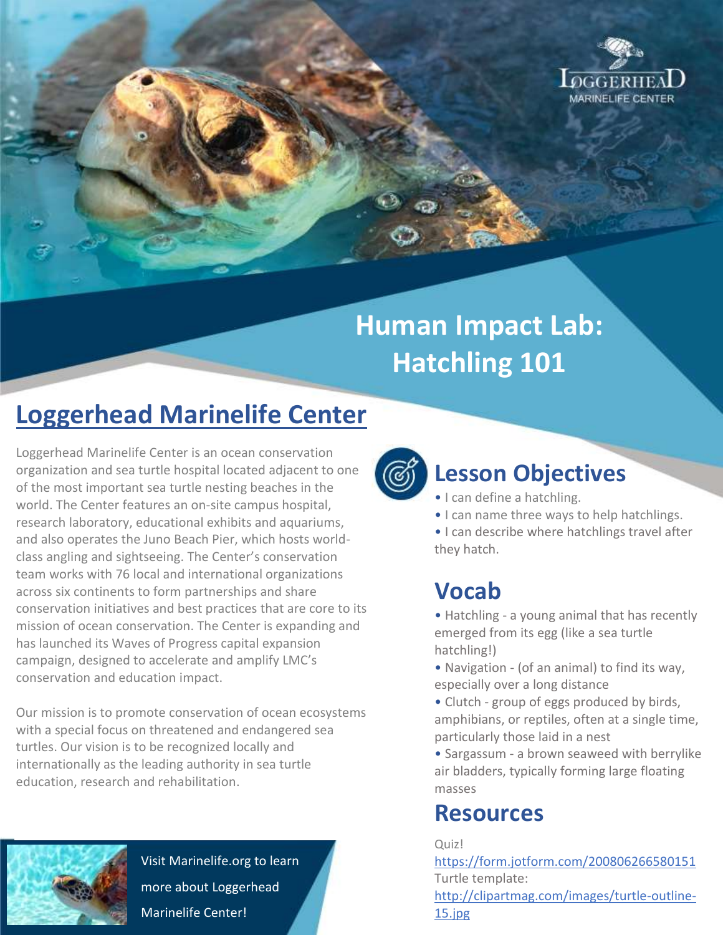

# **Human Impact Lab: Hatchling 101**

## **Loggerhead Marinelife Center**

Loggerhead Marinelife Center is an ocean conservation organization and sea turtle hospital located adjacent to one of the most important sea turtle nesting beaches in the world. The Center features an on-site campus hospital, research laboratory, educational exhibits and aquariums, and also operates the Juno Beach Pier, which hosts worldclass angling and sightseeing. The Center's conservation team works with 76 local and international organizations across six continents to form partnerships and share conservation initiatives and best practices that are core to its mission of ocean conservation. The Center is expanding and has launched its Waves of Progress capital expansion campaign, designed to accelerate and amplify LMC's conservation and education impact.

Our mission is to promote conservation of ocean ecosystems with a special focus on threatened and endangered sea turtles. Our vision is to be recognized locally and internationally as the leading authority in sea turtle education, research and rehabilitation.



Visit Marinelife.org to learn more about Loggerhead Marinelife Center!



#### **Lesson Objectives**

- I can define a hatchling.
- I can name three ways to help hatchlings.
- I can describe where hatchlings travel after they hatch.

#### **Vocab**

• Hatchling - a young animal that has recently emerged from its egg (like a sea turtle hatchling!)

- Navigation (of an animal) to find its way, especially over a long distance
- Clutch group of eggs produced by birds, amphibians, or reptiles, often at a single time, particularly those laid in a nest
- Sargassum a brown seaweed with berrylike air bladders, typically forming large floating masses

#### **Resources**

Quiz!

<https://form.jotform.com/200806266580151> Turtle template:

[http://clipartmag.com/images/turtle-outline-](http://clipartmag.com/images/turtle-outline-15.jpg)[15.jpg](http://clipartmag.com/images/turtle-outline-15.jpg)